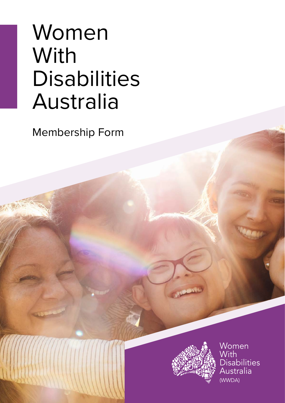# Women **With** Disabilities Australia

Membership Form



Women With **Disabilities** Australia (WWDA)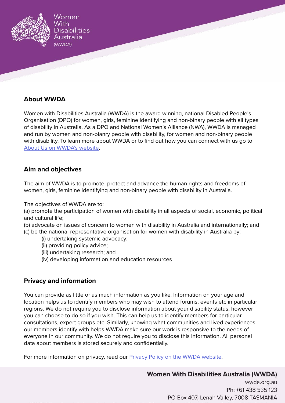

## **About WWDA**

Women with Disabilities Australia (WWDA) is the award winning, national Disabled People's Organisation (DPO) for women, girls, feminine identifying and non-binary people with all types of disability in Australia. As a DPO and National Women's Alliance (NWA), WWDA is managed and run by women and non-bianry people with disability, for women and non-binary people with disability. To learn more about WWDA or to find out how you can connect with us go to [About Us on WWDA's website](https://wwda.org.au/about/).

### **Aim and objectives**

The aim of WWDA is to promote, protect and advance the human rights and freedoms of women, girls, feminine identifying and non-binary people with disability in Australia.

The objectives of WWDA are to:

(a) promote the participation of women with disability in all aspects of social, economic, political and cultural life;

(b) advocate on issues of concern to women with disability in Australia and internationally; and

- (c) be the national representative organisation for women with disability in Australia by:
	- (i) undertaking systemic advocacy;
	- (ii) providing policy advice;
	- (iii) undertaking research; and
	- (iv) developing information and education resources

### **Privacy and information**

You can provide as little or as much information as you like. Information on your age and location helps us to identify members who may wish to attend forums, events etc in particular regions. We do not require you to disclose information about your disability status, however you can choose to do so if you wish. This can help us to identify members for particular consultations, expert groups etc. Similarly, knowing what communities and lived experiences our members identify with helps WWDA make sure our work is responsive to the needs of everyone in our community. We do not require you to disclose this information. All personal data about members is stored securely and confidentially.

For more information on privacy, read our [Privacy Policy on the WWDA website.](https://wwda.org.au/privacy/)

## **Women With Disabilities Australia (WWDA)**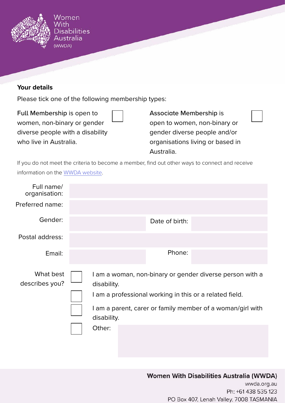

## **Your details**

Please tick one of the following membership types:

Full Membership is open to women, non-binary or gender diverse people with a disability who live in Australia.

Associate Membership is open to women, non-binary or gender diverse people and/or organisations living or based in Australia.

If you do not meet the criteria to become a member, find out other ways to connect and receive information on the [WWDA website.](https://wwda.org.au/join-wwda/)

| Full name/<br>organisation: |                                                                                                                                                                                                                           |                |  |
|-----------------------------|---------------------------------------------------------------------------------------------------------------------------------------------------------------------------------------------------------------------------|----------------|--|
| Preferred name:             |                                                                                                                                                                                                                           |                |  |
| Gender:                     |                                                                                                                                                                                                                           | Date of birth: |  |
| Postal address:             |                                                                                                                                                                                                                           |                |  |
| Email:                      |                                                                                                                                                                                                                           | Phone:         |  |
| What best<br>describes you? | I am a woman, non-binary or gender diverse person with a<br>disability.<br>I am a professional working in this or a related field.<br>I am a parent, carer or family member of a woman/girl with<br>disability.<br>Other: |                |  |

## **Women With Disabilities Australia (WWDA)**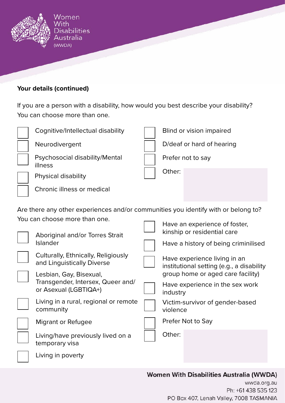

# **Your details (continued)**

If you are a person with a disability, how would you best describe your disability? You can choose more than one.

|  | Cognitive/Intellectual disability                                                                                                                                                                                                                                                                                                                                                                                                                                                 |  | Blind or vision impaired                                                                                                                                                                                                                                                                                                                            |
|--|-----------------------------------------------------------------------------------------------------------------------------------------------------------------------------------------------------------------------------------------------------------------------------------------------------------------------------------------------------------------------------------------------------------------------------------------------------------------------------------|--|-----------------------------------------------------------------------------------------------------------------------------------------------------------------------------------------------------------------------------------------------------------------------------------------------------------------------------------------------------|
|  | Neurodivergent                                                                                                                                                                                                                                                                                                                                                                                                                                                                    |  | D/deaf or hard of hearing                                                                                                                                                                                                                                                                                                                           |
|  | Psychosocial disability/Mental<br>illness<br>Physical disability                                                                                                                                                                                                                                                                                                                                                                                                                  |  | Prefer not to say                                                                                                                                                                                                                                                                                                                                   |
|  |                                                                                                                                                                                                                                                                                                                                                                                                                                                                                   |  | Other:                                                                                                                                                                                                                                                                                                                                              |
|  | Chronic illness or medical                                                                                                                                                                                                                                                                                                                                                                                                                                                        |  |                                                                                                                                                                                                                                                                                                                                                     |
|  | Are there any other experiences and/or communities you identify with or belong to?<br>You can choose more than one.<br>Aboriginal and/or Torres Strait<br><b>Islander</b><br>Culturally, Ethnically, Religiously<br>and Linguistically Diverse<br>Lesbian, Gay, Bisexual,<br>Transgender, Intersex, Queer and/<br>or Asexual (LGBTIQA+)<br>Living in a rural, regional or remote<br>community<br><b>Migrant or Refugee</b><br>Living/have previously lived on a<br>temporary visa |  | Have an experience of foster,<br>kinship or residential care<br>Have a history of being criminilised<br>Have experience living in an<br>institutional setting (e.g., a disability<br>group home or aged care facility)<br>Have experience in the sex work<br>industry<br>Victim-survivor of gender-based<br>violence<br>Prefer Not to Say<br>Other: |
|  | Living in poverty                                                                                                                                                                                                                                                                                                                                                                                                                                                                 |  |                                                                                                                                                                                                                                                                                                                                                     |
|  |                                                                                                                                                                                                                                                                                                                                                                                                                                                                                   |  |                                                                                                                                                                                                                                                                                                                                                     |

# **Women With Disabilities Australia (WWDA)**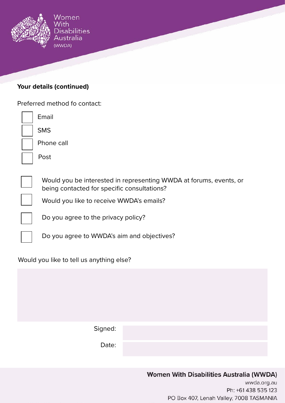

## **Your details (continued)**

| Preferred method fo contact:                                                                                      |  |  |  |  |  |  |
|-------------------------------------------------------------------------------------------------------------------|--|--|--|--|--|--|
| Email                                                                                                             |  |  |  |  |  |  |
| <b>SMS</b>                                                                                                        |  |  |  |  |  |  |
| Phone call                                                                                                        |  |  |  |  |  |  |
| Post                                                                                                              |  |  |  |  |  |  |
|                                                                                                                   |  |  |  |  |  |  |
| Would you be interested in representing WWDA at forums, events, or<br>being contacted for specific consultations? |  |  |  |  |  |  |
| Would you like to receive WWDA's emails?                                                                          |  |  |  |  |  |  |
| Do you agree to the privacy policy?                                                                               |  |  |  |  |  |  |
| Do you agree to WWDA's aim and objectives?                                                                        |  |  |  |  |  |  |
| Would you like to tell us anything else?                                                                          |  |  |  |  |  |  |
|                                                                                                                   |  |  |  |  |  |  |

| Signed: |  |  |
|---------|--|--|
| Date:   |  |  |

# **Women With Disabilities Australia (WWDA)** wwda.org.au Ph: +61 438 535 123 PO Box 407, Lenah Valley, 7008 TASMANIA